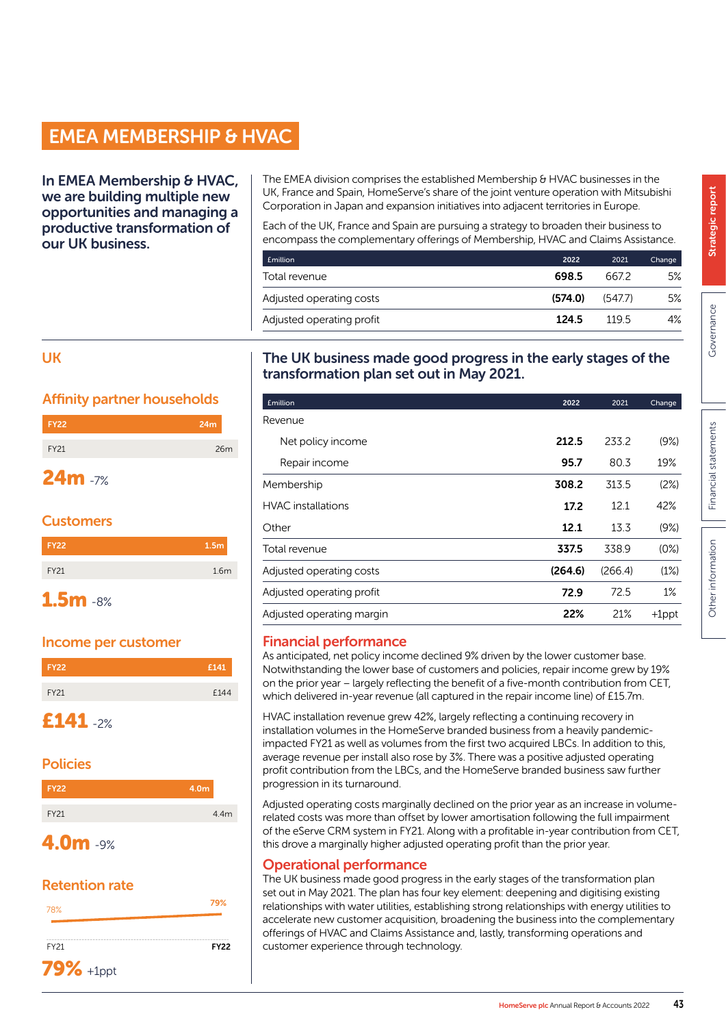# EMEA MEMBERSHIP & HVAC

In EMEA Membership & HVAC, we are building multiple new opportunities and managing a productive transformation of our UK business.

The EMEA division comprises the established Membership & HVAC businesses in the UK, France and Spain, HomeServe's share of the joint venture operation with Mitsubishi Corporation in Japan and expansion initiatives into adjacent territories in Europe.

Each of the UK, France and Spain are pursuing a strategy to broaden their business to encompass the complementary offerings of Membership, HVAC and Claims Assistance.

| Emillion                  | 2022    | 2021    | Change |
|---------------------------|---------|---------|--------|
| Total revenue             | 698.5   | 667.2   | 5%     |
| Adjusted operating costs  | (574.0) | (547.7) | 5%     |
| Adjusted operating profit | 124.5   | 1195    | 4%     |

#### UK

### Affinity partner households

| <b>FY22</b> | 24m |
|-------------|-----|
| <b>FY21</b> | 26m |
|             |     |

## 24m -7%

## **Customers**

| <b>FY22</b> | 1.5 <sub>m</sub> |
|-------------|------------------|
| FY21        | 1.6 <sub>m</sub> |
|             |                  |

## 1.5m -8%

## Income per customer

| <b>FY22</b>     | £141 |
|-----------------|------|
| FY21            | £144 |
| <b>£141</b> -2% |      |

## Policies

| <b>FY22</b> | 4.0m |
|-------------|------|
| FY21        | 4.4m |
| ___         |      |

## 4.0m -9%

## Retention rate



## The UK business made good progress in the early stages of the transformation plan set out in May 2021.

| <b>£million</b>           | 2022    | 2021    | Change   |
|---------------------------|---------|---------|----------|
| Revenue                   |         |         |          |
| Net policy income         | 212.5   | 233.2   | (9%)     |
| Repair income             | 95.7    | 80.3    | 19%      |
| Membership                | 308.2   | 313.5   | (2%)     |
| <b>HVAC</b> installations | 17.2    | 12.1    | 42%      |
| Other                     | 12.1    | 13.3    | (9%)     |
| Total revenue             | 337.5   | 338.9   | (0%)     |
| Adjusted operating costs  | (264.6) | (266.4) | (1%)     |
| Adjusted operating profit | 72.9    | 72.5    | 1%       |
| Adjusted operating margin | 22%     | 21%     | $+1$ ppt |
|                           |         |         |          |

## Financial performance

As anticipated, net policy income declined 9% driven by the lower customer base. Notwithstanding the lower base of customers and policies, repair income grew by 19% on the prior year – largely reflecting the benefit of a five-month contribution from CET, which delivered in-year revenue (all captured in the repair income line) of £15.7m.

HVAC installation revenue grew 42%, largely reflecting a continuing recovery in installation volumes in the HomeServe branded business from a heavily pandemicimpacted FY21 as well as volumes from the first two acquired LBCs. In addition to this, average revenue per install also rose by 3%. There was a positive adjusted operating profit contribution from the LBCs, and the HomeServe branded business saw further progression in its turnaround.

Adjusted operating costs marginally declined on the prior year as an increase in volumerelated costs was more than offset by lower amortisation following the full impairment of the eServe CRM system in FY21. Along with a profitable in-year contribution from CET, this drove a marginally higher adjusted operating profit than the prior year.

## Operational performance

The UK business made good progress in the early stages of the transformation plan set out in May 2021. The plan has four key element: deepening and digitising existing relationships with water utilities, establishing strong relationships with energy utilities to accelerate new customer acquisition, broadening the business into the complementary offerings of HVAC and Claims Assistance and, lastly, transforming operations and customer experience through technology.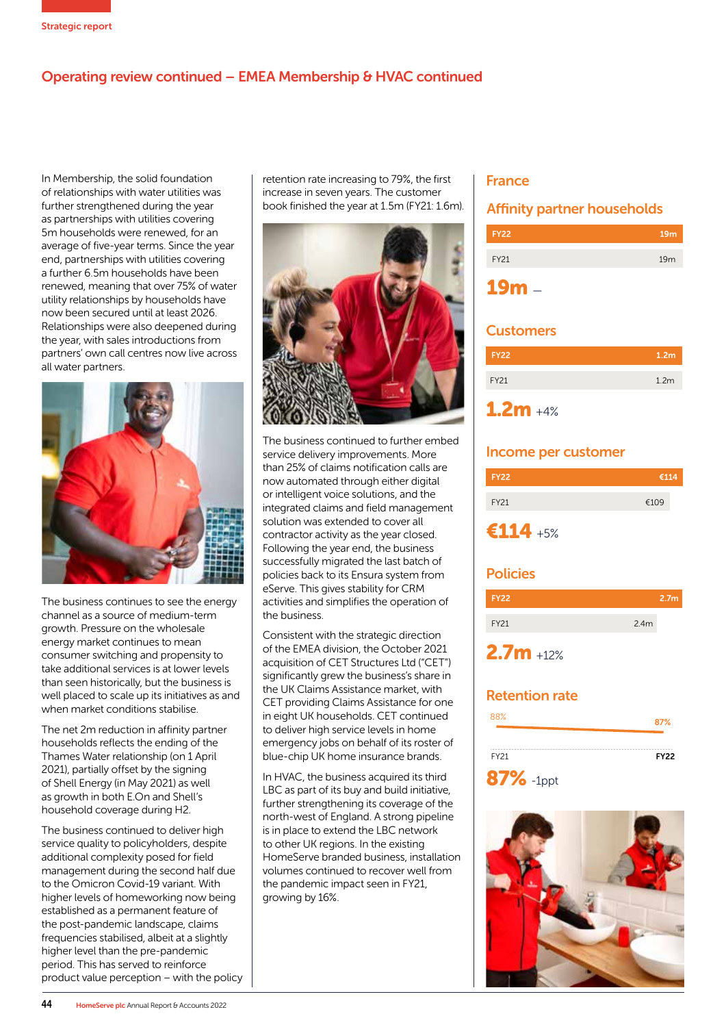## Operating review continued – EMEA Membership & HVAC continued

In Membership, the solid foundation of relationships with water utilities was further strengthened during the year as partnerships with utilities covering 5m households were renewed, for an average of five-year terms. Since the year end, partnerships with utilities covering a further 6.5m households have been renewed, meaning that over 75% of water utility relationships by households have now been secured until at least 2026. Relationships were also deepened during the year, with sales introductions from partners' own call centres now live across all water partners.



The business continues to see the energy channel as a source of medium-term growth. Pressure on the wholesale energy market continues to mean consumer switching and propensity to take additional services is at lower levels than seen historically, but the business is well placed to scale up its initiatives as and when market conditions stabilise.

The net 2m reduction in affinity partner households reflects the ending of the Thames Water relationship (on 1 April 2021), partially offset by the signing of Shell Energy (in May 2021) as well as growth in both E.On and Shell's household coverage during H2.

The business continued to deliver high service quality to policyholders, despite additional complexity posed for field management during the second half due to the Omicron Covid-19 variant. With higher levels of homeworking now being established as a permanent feature of the post-pandemic landscape, claims frequencies stabilised, albeit at a slightly higher level than the pre-pandemic period. This has served to reinforce product value perception – with the policy retention rate increasing to 79%, the first increase in seven years. The customer book finished the year at 1.5m (FY21: 1.6m).



The business continued to further embed service delivery improvements. More than 25% of claims notification calls are now automated through either digital or intelligent voice solutions, and the integrated claims and field management solution was extended to cover all contractor activity as the year closed. Following the year end, the business successfully migrated the last batch of policies back to its Ensura system from eServe. This gives stability for CRM activities and simplifies the operation of the business.

Consistent with the strategic direction of the EMEA division, the October 2021 acquisition of CET Structures Ltd ("CET") significantly grew the business's share in the UK Claims Assistance market, with CET providing Claims Assistance for one in eight UK households. CET continued to deliver high service levels in home emergency jobs on behalf of its roster of blue-chip UK home insurance brands.

In HVAC, the business acquired its third LBC as part of its buy and build initiative, further strengthening its coverage of the north-west of England. A strong pipeline is in place to extend the LBC network to other UK regions. In the existing HomeServe branded business, installation volumes continued to recover well from the pandemic impact seen in FY21, growing by 16%.

#### France

#### Affinity partner households

| <b>FY22</b> | 19 <sub>m</sub> |
|-------------|-----------------|
| FY21        | 19 <sub>m</sub> |
|             |                 |

#### **Customers**

| <b>FY22</b> | 1.2 <sub>m</sub> |
|-------------|------------------|
| <b>FY21</b> | 1.2 <sub>m</sub> |
|             |                  |

## $1.2m + 4%$

#### Income per customer



## $€114 + 5%$

#### **Policies**



#### Retention rate



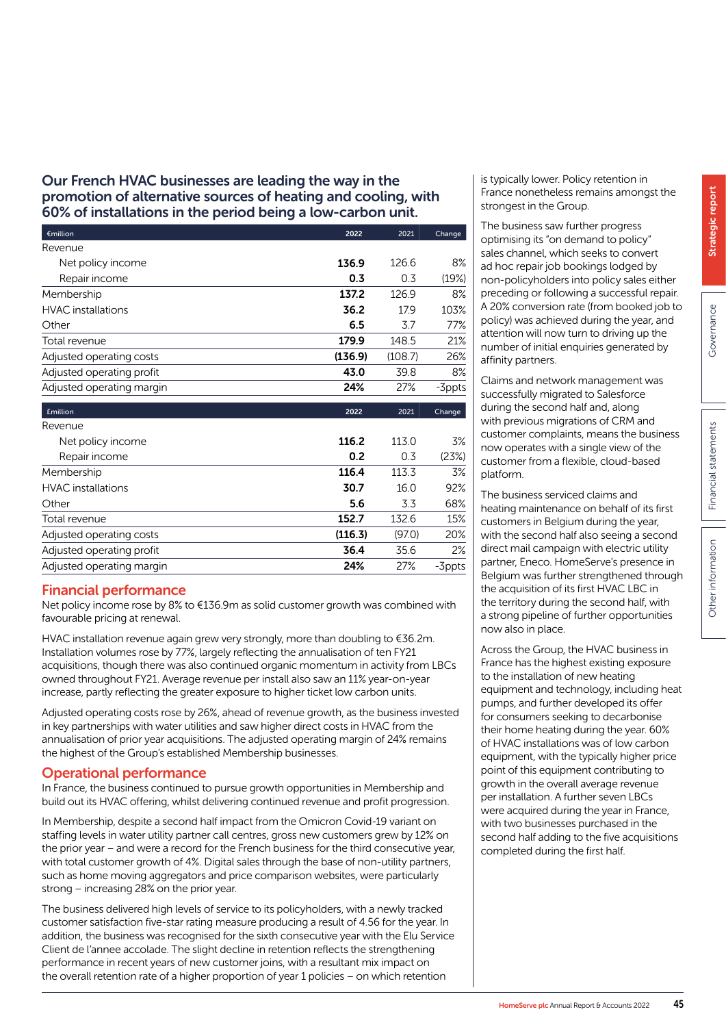#### Our French HVAC businesses are leading the way in the promotion of alternative sources of heating and cooling, with 60% of installations in the period being a low-carbon unit.

| $\epsilon$ million        | 2022    | 2021    | Change |
|---------------------------|---------|---------|--------|
| Revenue                   |         |         |        |
| Net policy income         | 136.9   | 126.6   | 8%     |
| Repair income             | 0.3     | 0.3     | (19%)  |
| Membership                | 137.2   | 1269    | 8%     |
| <b>HVAC</b> installations | 36.2    | 17.9    | 103%   |
| Other                     | 6.5     | 3.7     | 77%    |
| Total revenue             | 179.9   | 148.5   | 21%    |
| Adjusted operating costs  | (136.9) | (108.7) | 26%    |
| Adjusted operating profit | 43.0    | 39.8    | 8%     |
| Adjusted operating margin | 24%     | 27%     | -3ppts |
|                           |         |         |        |

| <b>£million</b>           | 2022    | 2021   | Change |
|---------------------------|---------|--------|--------|
| Revenue                   |         |        |        |
| Net policy income         | 116.2   | 113.0  | 3%     |
| Repair income             | 0.2     | 0.3    | (23%)  |
| Membership                | 116.4   | 113.3  | 3%     |
| <b>HVAC</b> installations | 30.7    | 16.0   | 92%    |
| Other                     | 5.6     | 3.3    | 68%    |
| Total revenue             | 152.7   | 132.6  | 15%    |
| Adjusted operating costs  | (116.3) | (97.0) | 20%    |
| Adjusted operating profit | 36.4    | 35.6   | 2%     |
| Adjusted operating margin | 24%     | 27%    | -3ppts |

#### Financial performance

Net policy income rose by 8% to €136.9m as solid customer growth was combined with favourable pricing at renewal.

HVAC installation revenue again grew very strongly, more than doubling to €36.2m. Installation volumes rose by 77%, largely reflecting the annualisation of ten FY21 acquisitions, though there was also continued organic momentum in activity from LBCs owned throughout FY21. Average revenue per install also saw an 11% year-on-year increase, partly reflecting the greater exposure to higher ticket low carbon units.

Adjusted operating costs rose by 26%, ahead of revenue growth, as the business invested in key partnerships with water utilities and saw higher direct costs in HVAC from the annualisation of prior year acquisitions. The adjusted operating margin of 24% remains the highest of the Group's established Membership businesses.

#### Operational performance

In France, the business continued to pursue growth opportunities in Membership and build out its HVAC offering, whilst delivering continued revenue and profit progression.

In Membership, despite a second half impact from the Omicron Covid-19 variant on staffing levels in water utility partner call centres, gross new customers grew by 12% on the prior year – and were a record for the French business for the third consecutive year, with total customer growth of 4%. Digital sales through the base of non-utility partners, such as home moving aggregators and price comparison websites, were particularly strong – increasing 28% on the prior year.

The business delivered high levels of service to its policyholders, with a newly tracked customer satisfaction five-star rating measure producing a result of 4.56 for the year. In addition, the business was recognised for the sixth consecutive year with the Elu Service Client de l'annee accolade. The slight decline in retention reflects the strengthening performance in recent years of new customer joins, with a resultant mix impact on the overall retention rate of a higher proportion of year 1 policies – on which retention

is typically lower. Policy retention in France nonetheless remains amongst the strongest in the Group.

The business saw further progress optimising its "on demand to policy" sales channel, which seeks to convert ad hoc repair job bookings lodged by non-policyholders into policy sales either preceding or following a successful repair. A 20% conversion rate (from booked job to policy) was achieved during the year, and attention will now turn to driving up the number of initial enquiries generated by affinity partners.

Claims and network management was successfully migrated to Salesforce during the second half and, along with previous migrations of CRM and customer complaints, means the business now operates with a single view of the customer from a flexible, cloud-based platform.

The business serviced claims and heating maintenance on behalf of its first customers in Belgium during the year, with the second half also seeing a second direct mail campaign with electric utility partner, Eneco. HomeServe's presence in Belgium was further strengthened through the acquisition of its first HVAC LBC in the territory during the second half, with a strong pipeline of further opportunities now also in place.

Across the Group, the HVAC business in France has the highest existing exposure to the installation of new heating equipment and technology, including heat pumps, and further developed its offer for consumers seeking to decarbonise their home heating during the year. 60% of HVAC installations was of low carbon equipment, with the typically higher price point of this equipment contributing to growth in the overall average revenue per installation. A further seven LBCs were acquired during the year in France, with two businesses purchased in the second half adding to the five acquisitions completed during the first half.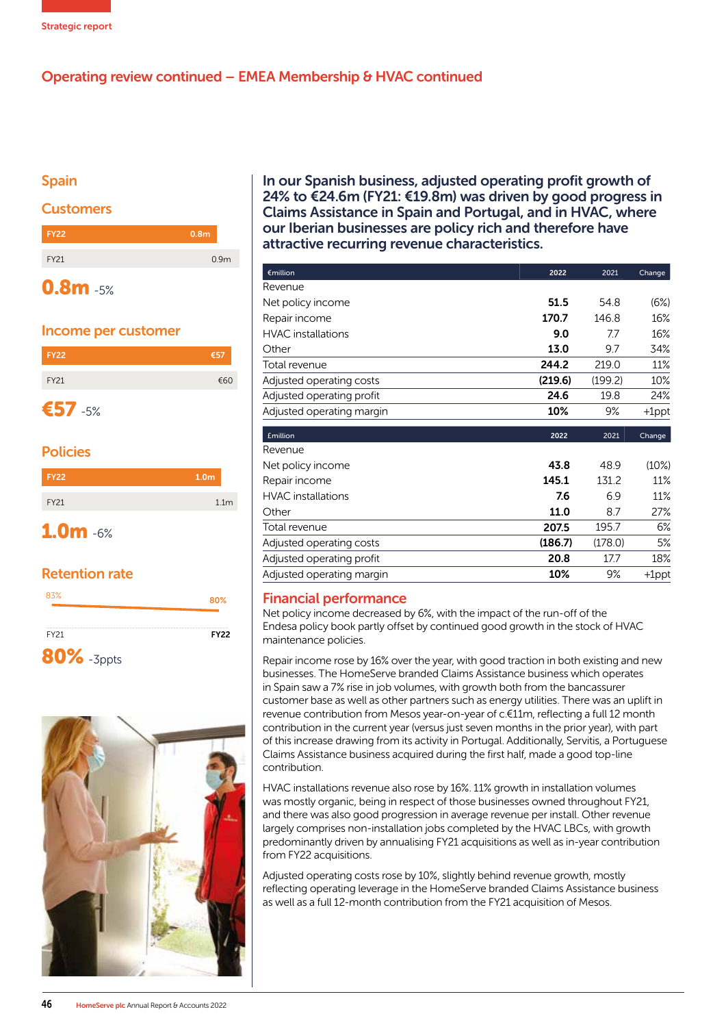

## Operating review continued – EMEA Membership & HVAC continued

#### Spain

#### **Customers**



#### Income per customer



### Policies

| <b>FY22</b> | 1.0 <sub>m</sub> |
|-------------|------------------|
| FY21        | 1.1 <sub>m</sub> |
| $1.0m - 6%$ |                  |

#### Retention rate

| 83%               | 80%         |
|-------------------|-------------|
| FY21              | <b>FY22</b> |
| <b>80%</b> -3ppts |             |



In our Spanish business, adjusted operating profit growth of 24% to €24.6m (FY21: €19.8m) was driven by good progress in Claims Assistance in Spain and Portugal, and in HVAC, where our Iberian businesses are policy rich and therefore have attractive recurring revenue characteristics.

| €million                  | 2022    | 2021    | Change   |
|---------------------------|---------|---------|----------|
| Revenue                   |         |         |          |
| Net policy income         | 51.5    | 54.8    | (6%)     |
| Repair income             | 170.7   | 146.8   | 16%      |
| <b>HVAC</b> installations | 9.0     | 7.7     | 16%      |
| Other                     | 13.0    | 9.7     | 34%      |
| Total revenue             | 244.2   | 219.0   | 11%      |
| Adjusted operating costs  | (219.6) | (199.2) | 10%      |
| Adjusted operating profit | 24.6    | 19.8    | 24%      |
| Adjusted operating margin | 10%     | 9%      | $+1$ ppt |
|                           |         |         |          |
| <b>£million</b>           | 2022    | 2021    | Change   |
| Revenue                   |         |         |          |
| Net policy income         | 43.8    | 48.9    | (10%)    |
| Repair income             | 145.1   | 131.2   | 11%      |
| <b>HVAC</b> installations | 7.6     | 6.9     | 11%      |
| Other                     | 11.0    | 8.7     | 27%      |
| Total revenue             | 207.5   | 195.7   | 6%       |
| Adjusted operating costs  | (186.7) | (178.0) | 5%       |
| Adjusted operating profit | 20.8    | 17.7    | 18%      |

#### Financial performance

Net policy income decreased by 6%, with the impact of the run-off of the Endesa policy book partly offset by continued good growth in the stock of HVAC maintenance policies.

Repair income rose by 16% over the year, with good traction in both existing and new businesses. The HomeServe branded Claims Assistance business which operates in Spain saw a 7% rise in job volumes, with growth both from the bancassurer customer base as well as other partners such as energy utilities. There was an uplift in revenue contribution from Mesos year-on-year of c.€11m, reflecting a full 12 month contribution in the current year (versus just seven months in the prior year), with part of this increase drawing from its activity in Portugal. Additionally, Servitis, a Portuguese Claims Assistance business acquired during the first half, made a good top-line contribution.

HVAC installations revenue also rose by 16%. 11% growth in installation volumes was mostly organic, being in respect of those businesses owned throughout FY21, and there was also good progression in average revenue per install. Other revenue largely comprises non-installation jobs completed by the HVAC LBCs, with growth predominantly driven by annualising FY21 acquisitions as well as in-year contribution from FY22 acquisitions.

Adjusted operating costs rose by 10%, slightly behind revenue growth, mostly reflecting operating leverage in the HomeServe branded Claims Assistance business as well as a full 12-month contribution from the FY21 acquisition of Mesos.